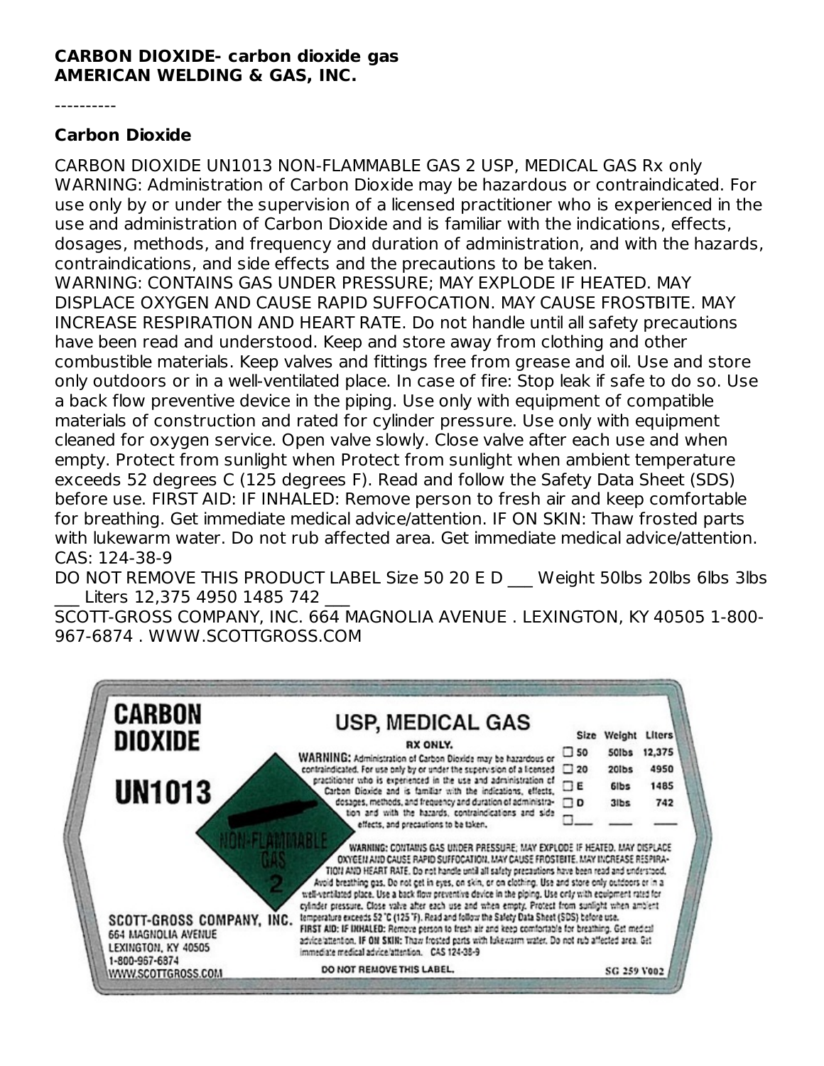## **CARBON DIOXIDE- carbon dioxide gas AMERICAN WELDING & GAS, INC.**

----------

## **Carbon Dioxide**

CARBON DIOXIDE UN1013 NON-FLAMMABLE GAS 2 USP, MEDICAL GAS Rx only WARNING: Administration of Carbon Dioxide may be hazardous or contraindicated. For use only by or under the supervision of a licensed practitioner who is experienced in the use and administration of Carbon Dioxide and is familiar with the indications, effects, dosages, methods, and frequency and duration of administration, and with the hazards, contraindications, and side effects and the precautions to be taken. WARNING: CONTAINS GAS UNDER PRESSURE; MAY EXPLODE IF HEATED. MAY DISPLACE OXYGEN AND CAUSE RAPID SUFFOCATION. MAY CAUSE FROSTBITE. MAY INCREASE RESPIRATION AND HEART RATE. Do not handle until all safety precautions have been read and understood. Keep and store away from clothing and other combustible materials. Keep valves and fittings free from grease and oil. Use and store only outdoors or in a well-ventilated place. In case of fire: Stop leak if safe to do so. Use a back flow preventive device in the piping. Use only with equipment of compatible materials of construction and rated for cylinder pressure. Use only with equipment cleaned for oxygen service. Open valve slowly. Close valve after each use and when empty. Protect from sunlight when Protect from sunlight when ambient temperature exceeds 52 degrees C (125 degrees F). Read and follow the Safety Data Sheet (SDS) before use. FIRST AID: IF INHALED: Remove person to fresh air and keep comfortable for breathing. Get immediate medical advice/attention. IF ON SKIN: Thaw frosted parts with lukewarm water. Do not rub affected area. Get immediate medical advice/attention. CAS: 124-38-9

DO NOT REMOVE THIS PRODUCT LABEL Size 50 20 E D Weight 50lbs 20lbs 6lbs 3lbs Liters 12,375 4950 1485 742

SCOTT-GROSS COMPANY, INC. 664 MAGNOLIA AVENUE . LEXINGTON, KY 40505 1-800- 967-6874 . WWW.SCOTTGROSS.COM